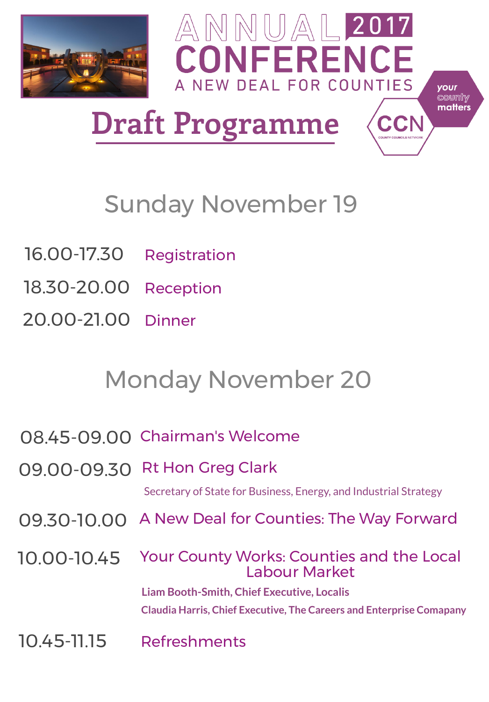

# $\mathbb{A} \mathbb{N} \mathbb{N}$   $\mathbb{U} \mathbb{A}$   $\mathbb{L}$  2017 CONFERENCE A NEW DEAL FOR COUNTIES

your county matters

**Draft Programme**

# Sunday November 19

# 16.00-17.30 Registration

18.30-20.00 Reception

20.00-21.00 Dinner

# Monday November 20

08.45-09.00 Chairman's Welcome

09.00-09.30 Rt Hon Greg Clark

Secretary of State for Business, Energy, and Industrial Strategy

#### 09.30-10.00 A New Deal for Counties: The Way Forward

#### 10.00-10.45 Your County Works: Counties and the Local Labour Market

**Liam Booth-Smith, Chief Executive, Localis**

**Claudia Harris, Chief Executive, The Careers and Enterprise Comapany**

### 10.45-11.15 Refreshments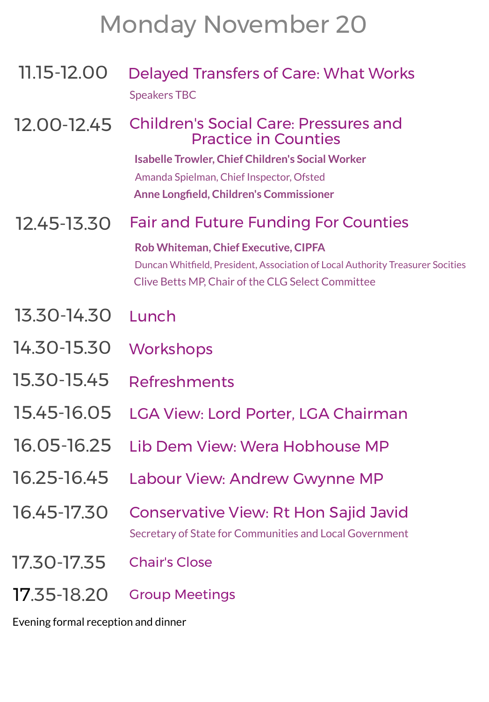# Monday November 20

11.15-12.00 Delayed Transfers of Care: What Works Speakers TBC

#### 12.00-12.45 Children's Social Care: Pressures and Practice in Counties

**Isabelle Trowler, Chief Children's Social Worker**

Amanda Spielman, Chief Inspector, Ofsted

**Anne Longfield, Children's Commissioner** 

12.45-13.30 Fair and Future Funding For Counties

**Rob Whiteman, Chief Executive, CIPFA**

Duncan Whiteld, President, Association of Local Authority Treasurer Socities Clive Betts MP, Chair of the CLG Select Committee

- 13.30-14.30 Lunch
- 14.30-15.30 Workshops
- 15.30-15.45 Refreshments
- 15.45-16.05 LGA View: Lord Porter, LGA Chairman
- 16.05-16.25 Lib Dem View: Wera Hobhouse MP
- 16.25-16.45 Labour View: Andrew Gwynne MP

### 16.45-17.30 Conservative View: Rt Hon Sajid Javid

Secretary of State for Communities and Local Government

17.30-17.35 Chair's Close

17.35-18.20 Group Meetings

Evening formal reception and dinner